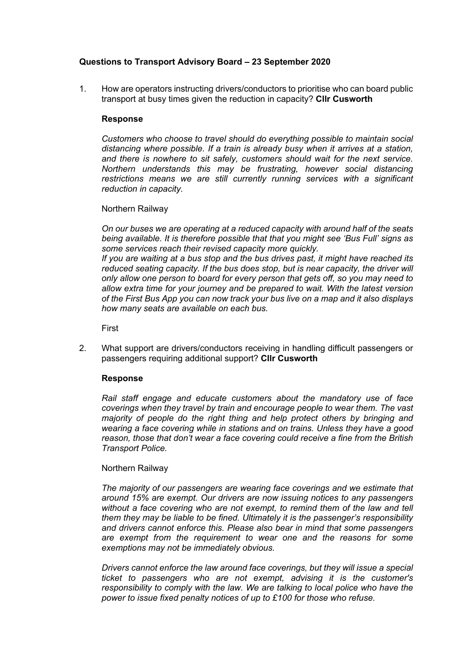# **Questions to Transport Advisory Board – 23 September 2020**

1. How are operators instructing drivers/conductors to prioritise who can board public transport at busy times given the reduction in capacity? **Cllr Cusworth**

# **Response**

*Customers who choose to travel should do everything possible to maintain social distancing where possible. If a train is already busy when it arrives at a station, and there is nowhere to sit safely, customers should wait for the next service. Northern understands this may be frustrating, however social distancing restrictions means we are still currently running services with a significant reduction in capacity.*

# Northern Railway

*On our buses we are operating at a reduced capacity with around half of the seats being available. It is therefore possible that that you might see 'Bus Full' signs as some services reach their revised capacity more quickly.*

*If you are waiting at a bus stop and the bus drives past, it might have reached its reduced seating capacity. If the bus does stop, but is near capacity, the driver will only allow one person to board for every person that gets off, so you may need to allow extra time for your journey and be prepared to wait. With the latest version of the First Bus App you can now track your bus live on a map and it also displays how many seats are available on each bus.*

First

2. What support are drivers/conductors receiving in handling difficult passengers or passengers requiring additional support? **Cllr Cusworth**

# **Response**

*Rail staff engage and educate customers about the mandatory use of face coverings when they travel by train and encourage people to wear them. The vast majority of people do the right thing and help protect others by bringing and wearing a face covering while in stations and on trains. Unless they have a good reason, those that don't wear a face covering could receive a fine from the British Transport Police.*

# Northern Railway

*The majority of our passengers are wearing face coverings and we estimate that around 15% are exempt. Our drivers are now issuing notices to any passengers without a face covering who are not exempt, to remind them of the law and tell them they may be liable to be fined. Ultimately it is the passenger's responsibility and drivers cannot enforce this. Please also bear in mind that some passengers are exempt from the requirement to wear one and the reasons for some exemptions may not be immediately obvious.*

*Drivers cannot enforce the law around face coverings, but they will issue a special ticket to passengers who are not exempt, advising it is the customer's responsibility to comply with the law. We are talking to local police who have the power to issue fixed penalty notices of up to £100 for those who refuse.*